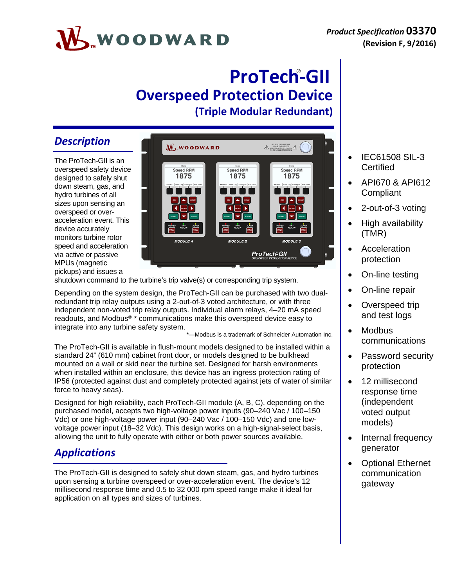# ® **ProTech‐GII Overspeed Protection Device (Triple Modular Redundant)**

## *Description*

The ProTech-GII is an overspeed safety device designed to safely shut down steam, gas, and hydro turbines of all sizes upon sensing an overspeed or overacceleration event. This device accurately monitors turbine rotor speed and acceleration via active or passive MPUs (magnetic pickups) and issues a



shutdown command to the turbine's trip valve(s) or corresponding trip system.

Depending on the system design, the ProTech-GII can be purchased with two dualredundant trip relay outputs using a 2-out-of-3 voted architecture, or with three independent non-voted trip relay outputs. Individual alarm relays, 4–20 mA speed readouts, and Modbus® \* communications make this overspeed device easy to integrate into any turbine safety system.

-Modbus is a trademark of Schneider Automation Inc.

The ProTech-GII is available in flush-mount models designed to be installed within a standard 24" (610 mm) cabinet front door, or models designed to be bulkhead mounted on a wall or skid near the turbine set. Designed for harsh environments when installed within an enclosure, this device has an ingress protection rating of IP56 (protected against dust and completely protected against jets of water of similar force to heavy seas).

Designed for high reliability, each ProTech-GII module (A, B, C), depending on the purchased model, accepts two high-voltage power inputs (90–240 Vac / 100–150 Vdc) or one high-voltage power input (90–240 Vac / 100–150 Vdc) and one lowvoltage power input (18–32 Vdc). This design works on a high-signal-select basis, allowing the unit to fully operate with either or both power sources available.

## *Applications*

The ProTech-GII is designed to safely shut down steam, gas, and hydro turbines upon sensing a turbine overspeed or over-acceleration event. The device's 12 millisecond response time and 0.5 to 32 000 rpm speed range make it ideal for application on all types and sizes of turbines.

- IEC61508 SIL-3 **Certified**
- API670 & API612 **Compliant**
- 2-out-of-3 voting
- High availability (TMR)
- **Acceleration** protection
- On-line testing
- On-line repair
- Overspeed trip and test logs
- **Modbus** communications
- Password security protection
- 12 millisecond response time (independent voted output models)
- Internal frequency generator
- Optional Ethernet communication gateway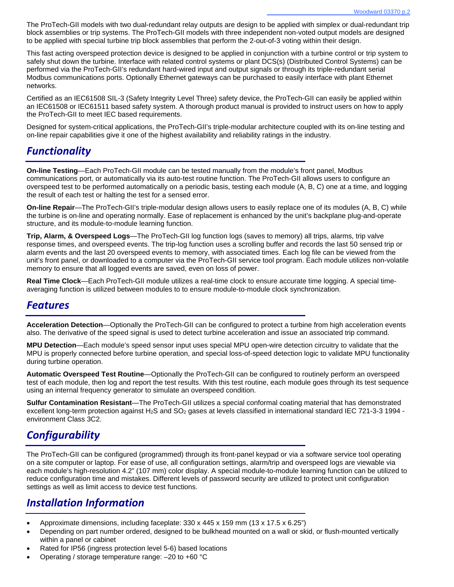The ProTech-GII models with two dual-redundant relay outputs are design to be applied with simplex or dual-redundant trip block assemblies or trip systems. The ProTech-GII models with three independent non-voted output models are designed to be applied with special turbine trip block assemblies that perform the 2-out-of-3 voting within their design.

This fast acting overspeed protection device is designed to be applied in conjunction with a turbine control or trip system to safely shut down the turbine. Interface with related control systems or plant DCS(s) (Distributed Control Systems) can be performed via the ProTech-GII's redundant hard-wired input and output signals or through its triple-redundant serial Modbus communications ports. Optionally Ethernet gateways can be purchased to easily interface with plant Ethernet networks.

Certified as an IEC61508 SIL-3 (Safety Integrity Level Three) safety device, the ProTech-GII can easily be applied within an IEC61508 or IEC61511 based safety system. A thorough product manual is provided to instruct users on how to apply the ProTech-GII to meet IEC based requirements.

Designed for system-critical applications, the ProTech-GII's triple-modular architecture coupled with its on-line testing and on-line repair capabilities give it one of the highest availability and reliability ratings in the industry.

## *Functionality*

**On-line Testing**—Each ProTech-GII module can be tested manually from the module's front panel, Modbus communications port, or automatically via its auto-test routine function. The ProTech-GII allows users to configure an overspeed test to be performed automatically on a periodic basis, testing each module (A, B, C) one at a time, and logging the result of each test or halting the test for a sensed error.

**On-line Repair**—The ProTech-GII's triple-modular design allows users to easily replace one of its modules (A, B, C) while the turbine is on-line and operating normally. Ease of replacement is enhanced by the unit's backplane plug-and-operate structure, and its module-to-module learning function.

**Trip, Alarm, & Overspeed Logs**—The ProTech-GII log function logs (saves to memory) all trips, alarms, trip valve response times, and overspeed events. The trip-log function uses a scrolling buffer and records the last 50 sensed trip or alarm events and the last 20 overspeed events to memory, with associated times. Each log file can be viewed from the unit's front panel, or downloaded to a computer via the ProTech-GII service tool program. Each module utilizes non-volatile memory to ensure that all logged events are saved, even on loss of power.

**Real Time Clock**—Each ProTech-GII module utilizes a real-time clock to ensure accurate time logging. A special timeaveraging function is utilized between modules to to ensure module-to-module clock synchronization.

### *Features*

**Acceleration Detection**—Optionally the ProTech-GII can be configured to protect a turbine from high acceleration events also. The derivative of the speed signal is used to detect turbine acceleration and issue an associated trip command.

**MPU Detection**—Each module's speed sensor input uses special MPU open-wire detection circuitry to validate that the MPU is properly connected before turbine operation, and special loss-of-speed detection logic to validate MPU functionality during turbine operation.

**Automatic Overspeed Test Routine**—Optionally the ProTech-GII can be configured to routinely perform an overspeed test of each module, then log and report the test results. With this test routine, each module goes through its test sequence using an internal frequency generator to simulate an overspeed condition.

**Sulfur Contamination Resistant**—The ProTech-GII utilizes a special conformal coating material that has demonstrated excellent long-term protection against  $H_2S$  and  $SO_2$  gases at levels classified in international standard IEC 721-3-3 1994 environment Class 3C2.

## *Configurability*

The ProTech-GII can be configured (programmed) through its front-panel keypad or via a software service tool operating on a site computer or laptop. For ease of use, all configuration settings, alarm/trip and overspeed logs are viewable via each module's high-resolution 4.2" (107 mm) color display. A special module-to-module learning function can be utilized to reduce configuration time and mistakes. Different levels of password security are utilized to protect unit configuration settings as well as limit access to device test functions.

## *Installation Information*

- Approximate dimensions, including faceplate: 330 x 445 x 159 mm (13 x 17.5 x 6.25")
- Depending on part number ordered, designed to be bulkhead mounted on a wall or skid, or flush-mounted vertically within a panel or cabinet
- Rated for IP56 (ingress protection level 5-6) based locations
- Operating / storage temperature range: –20 to +60 °C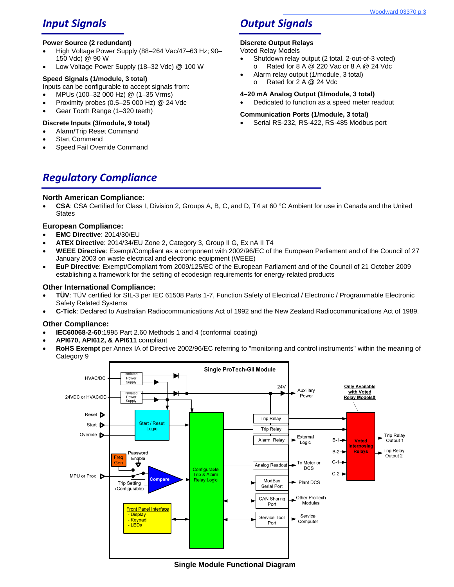## *Input Signals*

#### **Power Source (2 redundant)**

- High Voltage Power Supply (88-264 Vac/47-63 Hz; 90-150 Vdc) @ 90 W
- Low Voltage Power Supply (18–32 Vdc) @ 100 W

### **Speed Signals (1/module, 3 total)**

- Inputs can be configurable to accept signals from:
- MPUs (100–32 000 Hz) @ (1–35 Vrms)
- Proximity probes (0.5–25 000 Hz) @ 24 Vdc
- Gear Tooth Range (1–320 teeth)

### **Discrete Inputs (3/module, 9 total)**

- Alarm/Trip Reset Command
- Start Command
- Speed Fail Override Command

## *Output Signals*

### **Discrete Output Relays**

Voted Relay Models

- Shutdown relay output (2 total, 2-out-of-3 voted) o Rated for 8 A @ 220 Vac or 8 A @ 24 Vdc
- Alarm relay output (1/module, 3 total) o Rated for 2 A @ 24 Vdc

### **4–20 mA Analog Output (1/module, 3 total)**

Dedicated to function as a speed meter readout

### **Communication Ports (1/module, 3 total)**

Serial RS-232, RS-422, RS-485 Modbus port

*Regulatory Compliance*

### **North American Compliance:**

 **CSA**: CSA Certified for Class I, Division 2, Groups A, B, C, and D, T4 at 60 °C Ambient for use in Canada and the United **States** 

### **European Compliance:**

- **EMC Directive**: 2014/30/EU
- **ATEX Directive**: 2014/34/EU Zone 2, Category 3, Group II G, Ex nA II T4
- **WEEE Directive**: Exempt/Compliant as a component with 2002/96/EC of the European Parliament and of the Council of 27 January 2003 on waste electrical and electronic equipment (WEEE)
- **EuP Directive**: Exempt/Compliant from 2009/125/EC of the European Parliament and of the Council of 21 October 2009 establishing a framework for the setting of ecodesign requirements for energy-related products

### **Other International Compliance:**

- **TÜV**: TÜV certified for SIL-3 per IEC 61508 Parts 1-7, Function Safety of Electrical / Electronic / Programmable Electronic Safety Related Systems
- **C-Tick**: Declared to Australian Radiocommunications Act of 1992 and the New Zealand Radiocommunications Act of 1989.

### **Other Compliance:**

- **IEC60068-2-60**:1995 Part 2.60 Methods 1 and 4 (conformal coating)
- **API670, API612, & API611** compliant
- **RoHS Exempt** per Annex IA of Directive 2002/96/EC referring to "monitoring and control instruments" within the meaning of Category 9



**Single Module Functional Diagram**